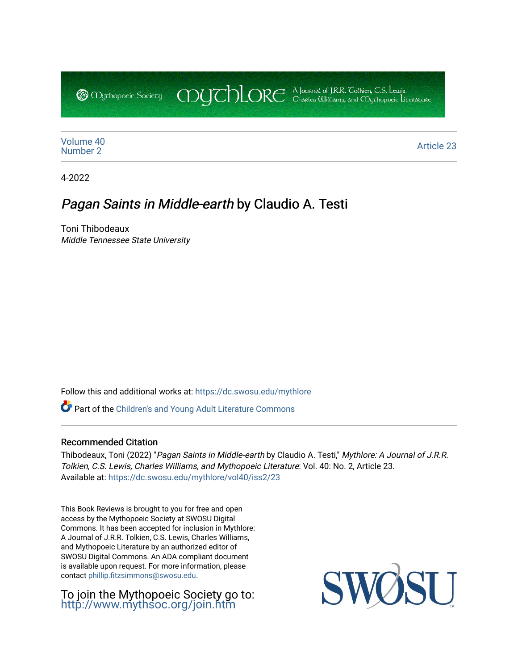CDUCHLORE A Journal of J.R.R. Coltien, C.S. Lewis,<br>CDUCHLORE Charles Williams, and Obyethopoeic Literacure **@** Mychopoeic Sociecy

[Volume 40](https://dc.swosu.edu/mythlore/vol40) [Number 2](https://dc.swosu.edu/mythlore/vol40/iss2) Article 23<br>Number 2

4-2022

## Pagan Saints in Middle-earth by Claudio A. Testi

Toni Thibodeaux Middle Tennessee State University

Follow this and additional works at: [https://dc.swosu.edu/mythlore](https://dc.swosu.edu/mythlore?utm_source=dc.swosu.edu%2Fmythlore%2Fvol40%2Fiss2%2F23&utm_medium=PDF&utm_campaign=PDFCoverPages) 

Part of the [Children's and Young Adult Literature Commons](http://network.bepress.com/hgg/discipline/1289?utm_source=dc.swosu.edu%2Fmythlore%2Fvol40%2Fiss2%2F23&utm_medium=PDF&utm_campaign=PDFCoverPages) 

## Recommended Citation

Thibodeaux, Toni (2022) "Pagan Saints in Middle-earth by Claudio A. Testi," Mythlore: A Journal of J.R.R. Tolkien, C.S. Lewis, Charles Williams, and Mythopoeic Literature: Vol. 40: No. 2, Article 23. Available at: [https://dc.swosu.edu/mythlore/vol40/iss2/23](https://dc.swosu.edu/mythlore/vol40/iss2/23?utm_source=dc.swosu.edu%2Fmythlore%2Fvol40%2Fiss2%2F23&utm_medium=PDF&utm_campaign=PDFCoverPages)

This Book Reviews is brought to you for free and open access by the Mythopoeic Society at SWOSU Digital Commons. It has been accepted for inclusion in Mythlore: A Journal of J.R.R. Tolkien, C.S. Lewis, Charles Williams, and Mythopoeic Literature by an authorized editor of SWOSU Digital Commons. An ADA compliant document is available upon request. For more information, please contact [phillip.fitzsimmons@swosu.edu.](mailto:phillip.fitzsimmons@swosu.edu)

To join the Mythopoeic Society go to: <http://www.mythsoc.org/join.htm>

SWO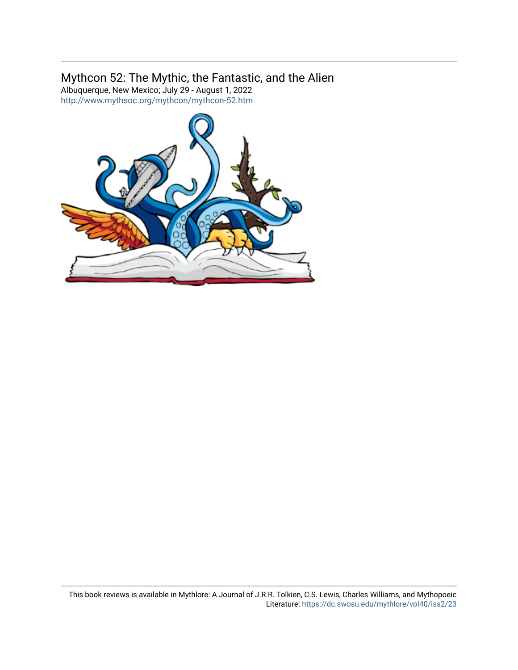## Mythcon 52: The Mythic, the Fantastic, and the Alien

Albuquerque, New Mexico; July 29 - August 1, 2022 <http://www.mythsoc.org/mythcon/mythcon-52.htm>

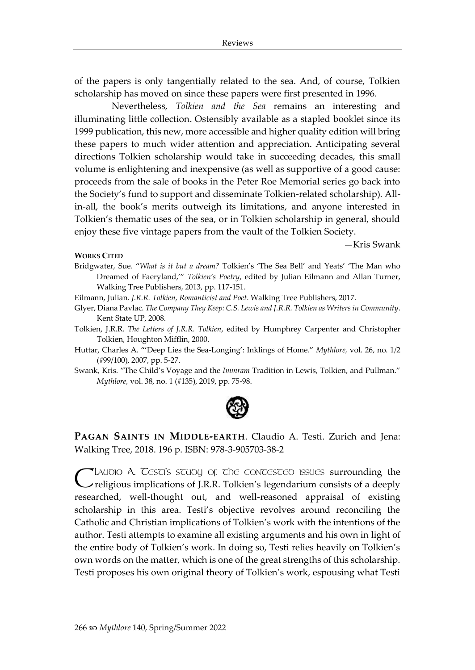of the papers is only tangentially related to the sea. And, of course, Tolkien scholarship has moved on since these papers were first presented in 1996.

Nevertheless, *Tolkien and the Sea* remains an interesting and illuminating little collection. Ostensibly available as a stapled booklet since its 1999 publication, this new, more accessible and higher quality edition will bring these papers to much wider attention and appreciation. Anticipating several directions Tolkien scholarship would take in succeeding decades, this small volume is enlightening and inexpensive (as well as supportive of a good cause: proceeds from the sale of books in the Peter Roe Memorial series go back into the Society's fund to support and disseminate Tolkien-related scholarship). Allin-all, the book's merits outweigh its limitations, and anyone interested in Tolkien's thematic uses of the sea, or in Tolkien scholarship in general, should enjoy these five vintage papers from the vault of the Tolkien Society.

—Kris Swank

## **WORKS CITED**

Bridgwater, Sue. "*What is it but a dream?* Tolkien's 'The Sea Bell' and Yeats' 'The Man who Dreamed of Faeryland,'" *Tolkien's Poetry*, edited by Julian Eilmann and Allan Turner, Walking Tree Publishers, 2013, pp. 117-151.

Eilmann, Julian. *J.R.R. Tolkien, Romanticist and Poet*. Walking Tree Publishers, 2017.

Glyer, Diana Pavlac. *The Company They Keep: C.S. Lewis and J.R.R. Tolkien as Writers in Community*. Kent State UP, 2008.

Tolkien, J.R.R. *The Letters of J.R.R. Tolkien*, edited by Humphrey Carpenter and Christopher Tolkien, Houghton Mifflin, 2000.

Huttar, Charles A. "'Deep Lies the Sea-Longing': Inklings of Home." *Mythlore,* vol. 26, no. 1/2 (#99/100), 2007, pp. 5-27.

Swank, Kris. "The Child's Voyage and the *Immram* Tradition in Lewis, Tolkien, and Pullman." *Mythlore,* vol. 38, no. 1 (#135), 2019, pp. 75-98.



**PAGAN SAINTS IN MIDDLE-EARTH**. Claudio A. Testi. Zurich and Jena: Walking Tree, 2018. 196 p. ISBN: 978-3-905703-38-2

LAUDIO A. TESTI'S STUDY OF THE CONTESTED ISSUES surrounding the Claudio A. Cesci's scudio of the concesced issues surrounding the religious implications of J.R.R. Tolkien's legendarium consists of a deeply researched, well-thought out, and well-reasoned appraisal of existing scholarship in this area. Testi's objective revolves around reconciling the Catholic and Christian implications of Tolkien's work with the intentions of the author. Testi attempts to examine all existing arguments and his own in light of the entire body of Tolkien's work. In doing so, Testi relies heavily on Tolkien's own words on the matter, which is one of the great strengths of this scholarship. Testi proposes his own original theory of Tolkien's work, espousing what Testi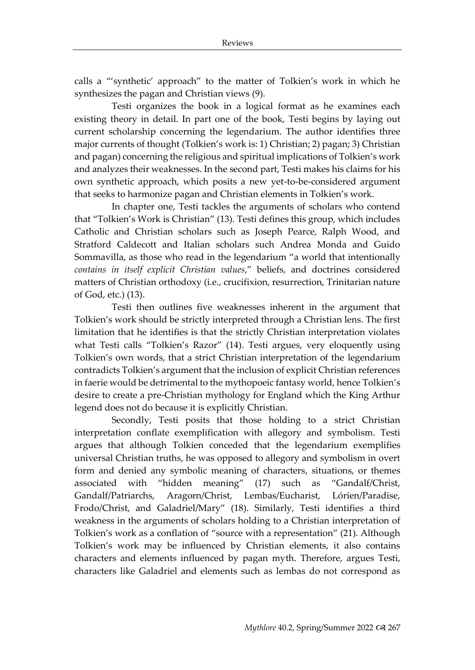calls a "'synthetic' approach" to the matter of Tolkien's work in which he synthesizes the pagan and Christian views (9).

Testi organizes the book in a logical format as he examines each existing theory in detail. In part one of the book, Testi begins by laying out current scholarship concerning the legendarium. The author identifies three major currents of thought (Tolkien's work is: 1) Christian; 2) pagan; 3) Christian and pagan) concerning the religious and spiritual implications of Tolkien's work and analyzes their weaknesses. In the second part, Testi makes his claims for his own synthetic approach, which posits a new yet-to-be-considered argument that seeks to harmonize pagan and Christian elements in Tolkien's work.

In chapter one, Testi tackles the arguments of scholars who contend that "Tolkien's Work is Christian" (13). Testi defines this group, which includes Catholic and Christian scholars such as Joseph Pearce, Ralph Wood, and Stratford Caldecott and Italian scholars such Andrea Monda and Guido Sommavilla, as those who read in the legendarium "a world that intentionally *contains in itself explicit Christian values*," beliefs, and doctrines considered matters of Christian orthodoxy (i.e., crucifixion, resurrection, Trinitarian nature of God, etc.) (13).

Testi then outlines five weaknesses inherent in the argument that Tolkien's work should be strictly interpreted through a Christian lens. The first limitation that he identifies is that the strictly Christian interpretation violates what Testi calls "Tolkien's Razor" (14). Testi argues, very eloquently using Tolkien's own words, that a strict Christian interpretation of the legendarium contradicts Tolkien's argument that the inclusion of explicit Christian references in faerie would be detrimental to the mythopoeic fantasy world, hence Tolkien's desire to create a pre-Christian mythology for England which the King Arthur legend does not do because it is explicitly Christian.

Secondly, Testi posits that those holding to a strict Christian interpretation conflate exemplification with allegory and symbolism. Testi argues that although Tolkien conceded that the legendarium exemplifies universal Christian truths, he was opposed to allegory and symbolism in overt form and denied any symbolic meaning of characters, situations, or themes associated with "hidden meaning" (17) such as "Gandalf/Christ, Gandalf/Patriarchs, Aragorn/Christ, Lembas/Eucharist, Lórien/Paradise, Frodo/Christ, and Galadriel/Mary" (18). Similarly, Testi identifies a third weakness in the arguments of scholars holding to a Christian interpretation of Tolkien's work as a conflation of "source with a representation" (21). Although Tolkien's work may be influenced by Christian elements, it also contains characters and elements influenced by pagan myth. Therefore, argues Testi, characters like Galadriel and elements such as lembas do not correspond as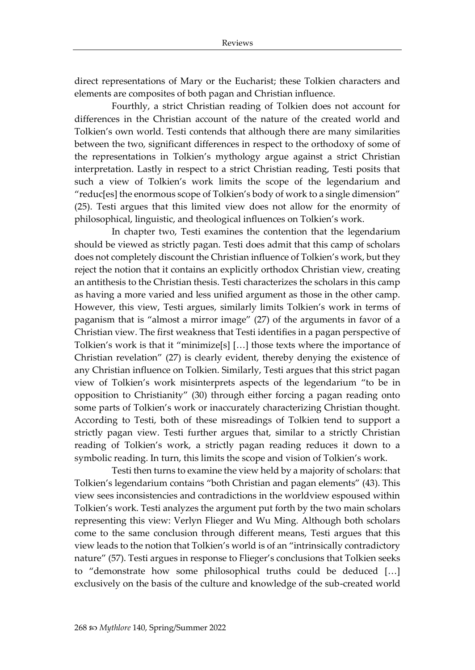direct representations of Mary or the Eucharist; these Tolkien characters and elements are composites of both pagan and Christian influence.

Fourthly, a strict Christian reading of Tolkien does not account for differences in the Christian account of the nature of the created world and Tolkien's own world. Testi contends that although there are many similarities between the two, significant differences in respect to the orthodoxy of some of the representations in Tolkien's mythology argue against a strict Christian interpretation. Lastly in respect to a strict Christian reading, Testi posits that such a view of Tolkien's work limits the scope of the legendarium and "reduc[es] the enormous scope of Tolkien's body of work to a single dimension" (25). Testi argues that this limited view does not allow for the enormity of philosophical, linguistic, and theological influences on Tolkien's work.

In chapter two, Testi examines the contention that the legendarium should be viewed as strictly pagan. Testi does admit that this camp of scholars does not completely discount the Christian influence of Tolkien's work, but they reject the notion that it contains an explicitly orthodox Christian view, creating an antithesis to the Christian thesis. Testi characterizes the scholars in this camp as having a more varied and less unified argument as those in the other camp. However, this view, Testi argues, similarly limits Tolkien's work in terms of paganism that is "almost a mirror image" (27) of the arguments in favor of a Christian view. The first weakness that Testi identifies in a pagan perspective of Tolkien's work is that it "minimize[s] […] those texts where the importance of Christian revelation" (27) is clearly evident, thereby denying the existence of any Christian influence on Tolkien. Similarly, Testi argues that this strict pagan view of Tolkien's work misinterprets aspects of the legendarium "to be in opposition to Christianity" (30) through either forcing a pagan reading onto some parts of Tolkien's work or inaccurately characterizing Christian thought. According to Testi, both of these misreadings of Tolkien tend to support a strictly pagan view. Testi further argues that, similar to a strictly Christian reading of Tolkien's work, a strictly pagan reading reduces it down to a symbolic reading. In turn, this limits the scope and vision of Tolkien's work.

Testi then turns to examine the view held by a majority of scholars: that Tolkien's legendarium contains "both Christian and pagan elements" (43). This view sees inconsistencies and contradictions in the worldview espoused within Tolkien's work. Testi analyzes the argument put forth by the two main scholars representing this view: Verlyn Flieger and Wu Ming. Although both scholars come to the same conclusion through different means, Testi argues that this view leads to the notion that Tolkien's world is of an "intrinsically contradictory nature" (57). Testi argues in response to Flieger's conclusions that Tolkien seeks to "demonstrate how some philosophical truths could be deduced […] exclusively on the basis of the culture and knowledge of the sub-created world